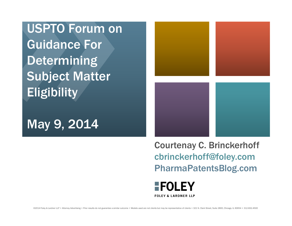USPTO Forum on Guidance For **Determining** Subject Matter **Eligibility** 

#### May 9, 2014



Courtenay C. Brinckerhoff cbrinckerhoff@foley.com PharmaPatentsBlog.com

#### **HFOLEY FOLEY & LARDNER LLP**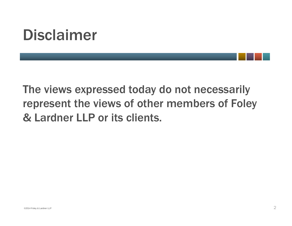# Disclaimer

The views expressed today do not necessarily represent the views of other members of Foley & Lardner LLP or its clients.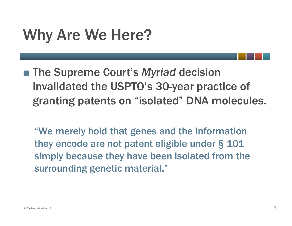## Why Are We Here?

■ The Supreme Court's *Myriad* decision invalidated the USPTO's 30-year practice of granting patents on "isolated" DNA molecules.

"We merely hold that genes and the information they encode are not patent eligible under § 101 simply because they have been isolated from the surrounding genetic material."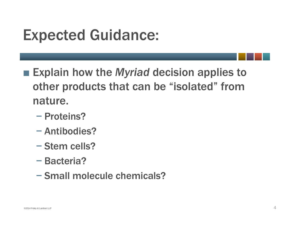## Expected Guidance:

- Explain how the *Myriad* decision applies to other products that can be "isolated" from nature.
	- −- Proteins?
	- −Antibodies?
	- −– Stem cells?
	- −- Bacteria?
	- −Small molecule chemicals?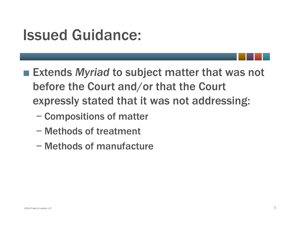#### Issued Guidance:

■ Extends *Myriad* to subject matter that was not before the Court and/or that the Court expressly stated that it was not addressing:

- −- Compositions of matter
- −Methods of treatment
- −Methods of manufacture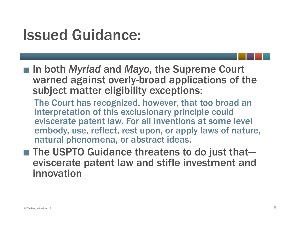#### Issued Guidance:

■ In both *Myriad* and *Mayo*, the Supreme Court warned against overly-broad applications of the subject matter eligibility exceptions:

The Court has recognized, however, that too broad an interpretation of this exclusionary principle could eviscerate patent law. For all inventions at some level embody, use, reflect, rest upon, or apply laws of nature, natural phenomena, or abstract ideas.

■ The USPTO Guidance threatens to do just that eviscerate patent law and stifle investment and innovation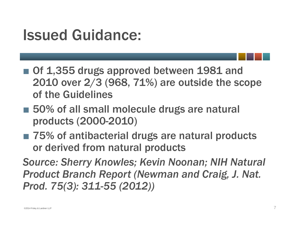#### Issued Guidance:

- Of 1,355 drugs approved between 1981 and 2010 over 2/3 (968, 71%) are outside the scope of the Guidelines
- 50% of all small molecule drugs are natural products (2000-2010)
- 75% of antibacterial drugs are natural products or derived from natural products

*Source: Sherry Knowles; Kevin Noonan; NIH Natural Product Branch Report (Newman and Craig, J. Nat. Prod. 75(3): 311-55 (2012))*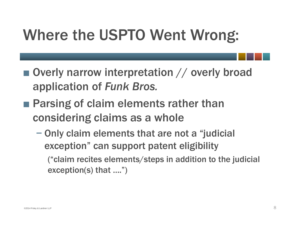# Where the USPTO Went Wrong:

- Overly narrow interpretation // overly broad application of *Funk Bros.*
- Parsing of claim elements rather than considering claims as a whole
	- −- Only claim elements that are not a "judicial exception" can support patent eligibility

("claim recites elements/steps in addition to the judicial exception(s) that ….")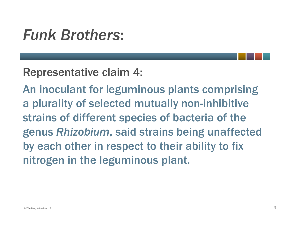#### *Funk Brothers*:

Representative claim 4:

An inoculant for leguminous plants comprising a plurality of selected mutually non-inhibitive strains of different species of bacteria of the genus *Rhizobium*, said strains being unaffected by each other in respect to their ability to fix nitrogen in the leguminous plant.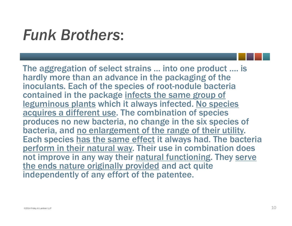#### *Funk Brothers*:

The aggregation of select strains … into one product …. is hardly more than an advance in the packaging of the inoculants. Each of the species of root-nodule bacteria contained in the package infects the same group of leguminous plants which it always infected. No species acquires a different use. The combination of species produces no new bacteria, no change in the six species of bacteria, and no enlargement of the range of their utility. Each species has the same effect it always had. The bacteria perform in their natural way. Their use in combination does not improve in any way their natural functioning. They serve the ends nature originally provided and act quite independently of any effort of the patentee.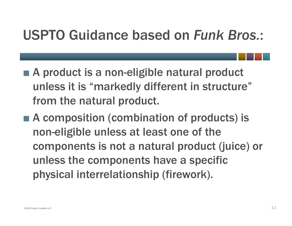#### USPTO Guidance based on *Funk Bros.* :

- A product is a non-eligible natural product unless it is "markedly different in structure" from the natural product.
- A composition (combination of products) is non-eligible unless at least one of the components is not a natural product (juice) or unless the components have a specific physical interrelationship (firework).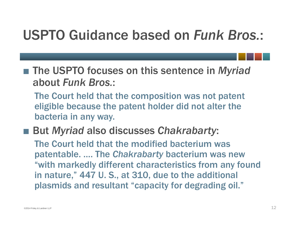#### USPTO Guidance based on *Funk Bros.* :

■ The USPTO focuses on this sentence in *Myriad* about *Funk Bros.*:

The Court held that the composition was not patent eligible because the patent holder did not alter the bacteria in any way.

■ But *Myriad* also discusses *Chakrabarty*:

The Court held that the modified bacterium was patentable. …. The *Chakrabarty* bacterium was new "with markedly different characteristics from any found in nature," 447 U. S., at 310, due to the additional plasmids and resultant "capacity for degrading oil."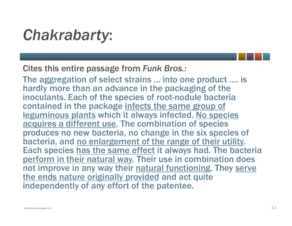#### *Chakrabarty*:

Cites this entire passage from *Funk Bros.:* 

The aggregation of select strains … into one product …. is hardly more than an advance in the packaging of the inoculants. Each of the species of root-nodule bacteria contained in the package infects the same group of leguminous plants which it always infected. No species acquires a different use. The combination of species produces no new bacteria, no change in the six species of bacteria, and no enlargement of the range of their utility. Each species has the same effect it always had. The bacteria perform in their natural way. Their use in combination does not improve in any way their natural functioning. They serve the ends nature originally provided and act quite independently of any effort of the patentee.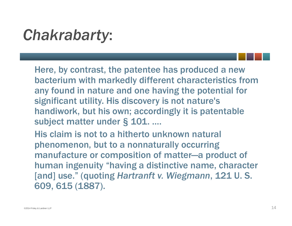## *Chakrabarty*:

Here, by contrast, the patentee has produced a new bacterium with markedly different characteristics from any found in nature and one having the potential for significant utility. His discovery is not nature's handiwork, but his own; accordingly it is patentable subject matter under § 101. ….

His claim is not to a hitherto unknown natural phenomenon, but to a nonnaturally occurring manufacture or composition of matter—a product of human ingenuity "having a distinctive name, character [and] use." (quoting *Hartranft v. Wiegmann*, 121 U. S. 609, 615 (1887).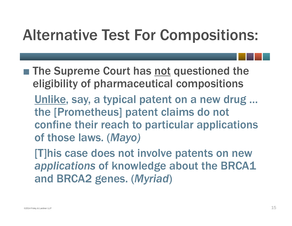- The Supreme Court has not questioned the eligibility of pharmaceutical compositions Unlike, say, a typical patent on a new drug … the [Prometheus] patent claims do not
	- confine their reach to particular applications of those laws. (*Mayo)*

[T]his case does not involve patents on new *applications* of knowledge about the BRCA1 and BRCA2 genes. (*Myriad*)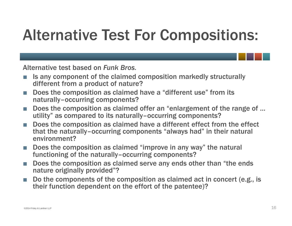Alternative test based on *Funk Bros.* 

- Is any component of the claimed composition markedly structurally different from a product of nature?
- ■ Does the composition as claimed have a "different use" from its naturally–occurring components?
- Does the composition as claimed offer an "enlargement of the range of … utility" as compared to its naturally–occurring components?
- Does the composition as claimed have a different effect from the effect that the naturally–occurring components "always had" in their natural environment?
- Does the composition as claimed "improve in any way" the natural functioning of the naturally–occurring components?
- ■ Does the composition as claimed serve any ends other than "the ends nature originally provided"?
- ■ Do the components of the composition as claimed act in concert (e.g., is their function dependent on the effort of the patentee)?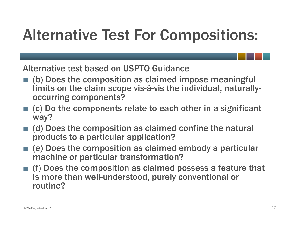Alternative test based on USPTO Guidance

- (b) Does the composition as claimed impose meaningful limits on the claim scope vis-à-vis the individual, naturallyoccurring components?
- $\blacksquare$  (c) Do the components relate to each other in a significant way?
- (d) Does the composition as claimed confine the natural products to a particular application?
- (e) Does the composition as claimed embody a particular machine or particular transformation?
- (f) Does the composition as claimed possess a feature that is more than well-understood, purely conventional or routine?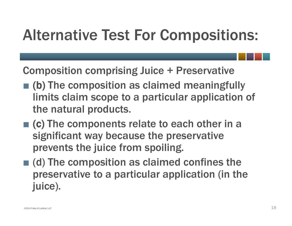Composition comprising Juice + Preservative

- (b) The composition as claimed meaningfully limits claim scope to a particular application of the natural products.
- $\blacksquare$  (c) The components relate to each other in a significant way because the preservative prevents the juice from spoiling.
- (d) The composition as claimed confines the preservative to a particular application (in the juice).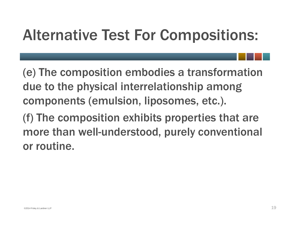(e) The composition embodies a transformation due to the physical interrelationship among components (emulsion, liposomes, etc.).

(f) The composition exhibits properties that are more than well-understood, purely conventional or routine.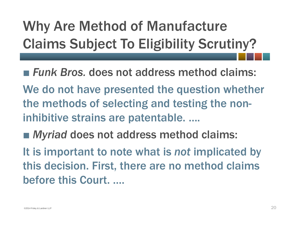# Why Are Method of Manufacture Claims Subject To Eligibility Scrutiny?

■ Funk Bros. does not address method claims:

We do not have presented the question whether the methods of selecting and testing the noninhibitive strains are patentable. ….

■ *Myriad* does not address method claims:

It is important to note what is *not* implicated by this decision. First, there are no method claims before this Court. ….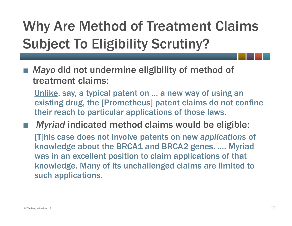# Why Are Method of Treatment Claims Subject To Eligibility Scrutiny?

■ *Mayo* did not undermine eligibility of method of treatment claims:

Unlike, say, a typical patent on … a new way of using an existing drug, the [Prometheus] patent claims do not confine their reach to particular applications of those laws.

■ *Myriad* indicated method claims would be eligible: [T]his case does not involve patents on new *applications* of knowledge about the BRCA1 and BRCA2 genes. …. Myriad was in an excellent position to claim applications of that knowledge. Many of its unchallenged claims are limited to such applications.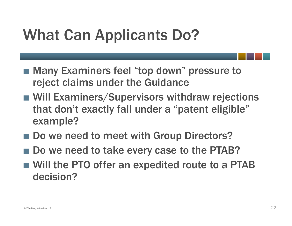## What Can Applicants Do?

- Many Examiners feel "top down" pressure to reject claims under the Guidance
- Will Examiners/Supervisors withdraw rejections that don't exactly fall under a "patent eligible" example?
- Do we need to meet with Group Directors?
- Do we need to take every case to the PTAB?
- Will the PTO offer an expedited route to a PTAB decision?